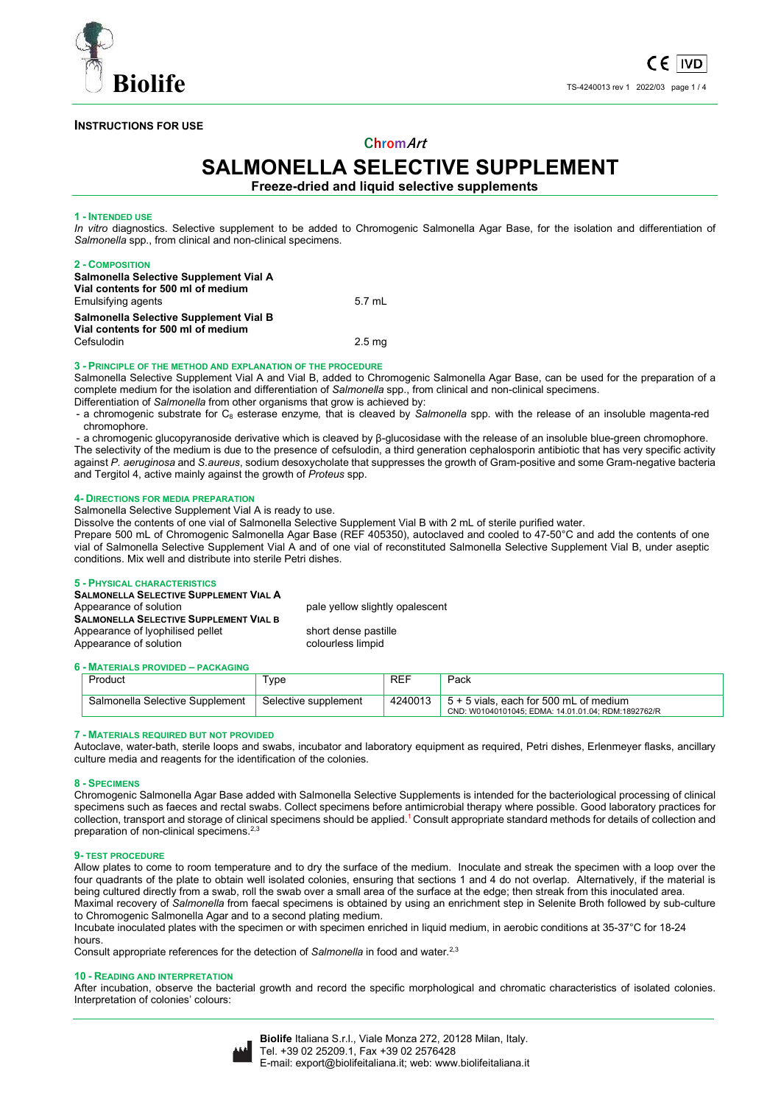

## **INSTRUCTIONS FOR USE**

# **ChromArt**

# **SALMONELLA SELECTIVE SUPPLEMENT**

**Freeze-dried and liquid selective supplements** 

## **1 - INTENDED USE**

*In vitro* diagnostics. Selective supplement to be added to Chromogenic Salmonella Agar Base, for the isolation and differentiation of *Salmonella* spp., from clinical and non-clinical specimens.

## **2 - COMPOSITION**

| Salmonella Selective Supplement Vial A<br>Vial contents for 500 ml of medium |                   |
|------------------------------------------------------------------------------|-------------------|
| Emulsifying agents                                                           | 5.7 mL            |
| Salmonella Selective Supplement Vial B<br>Vial contents for 500 ml of medium |                   |
| Cefsulodin                                                                   | 2.5 <sub>mq</sub> |

#### **3 - PRINCIPLE OF THE METHOD AND EXPLANATION OF THE PROCEDURE**

Salmonella Selective Supplement Vial A and Vial B, added to Chromogenic Salmonella Agar Base, can be used for the preparation of a complete medium for the isolation and differentiation of *Salmonella* spp., from clinical and non-clinical specimens.

- Differentiation of *Salmonella* from other organisms that grow is achieved by:
- a chromogenic substrate for C8 esterase enzyme*,* that is cleaved by *Salmonella* spp. with the release of an insoluble magenta-red chromophore.

- a chromogenic glucopyranoside derivative which is cleaved by β-glucosidase with the release of an insoluble blue-green chromophore. The selectivity of the medium is due to the presence of cefsulodin, a third generation cephalosporin antibiotic that has very specific activity against *P. aeruginosa* and *S.aureus*, sodium desoxycholate that suppresses the growth of Gram-positive and some Gram-negative bacteria and Tergitol 4, active mainly against the growth of *Proteus* spp.

#### **4- DIRECTIONS FOR MEDIA PREPARATION**

Salmonella Selective Supplement Vial A is ready to use.

Dissolve the contents of one vial of Salmonella Selective Supplement Vial B with 2 mL of sterile purified water.

Prepare 500 mL of Chromogenic Salmonella Agar Base (REF 405350), autoclaved and cooled to 47-50°C and add the contents of one vial of Salmonella Selective Supplement Vial A and of one vial of reconstituted Salmonella Selective Supplement Vial B, under aseptic conditions. Mix well and distribute into sterile Petri dishes.

## **5 - PHYSICAL CHARACTERISTICS**

| <b>SALMONELLA SELECTIVE SUPPLEMENT VIAL A</b> |
|-----------------------------------------------|
| Appearance of solution                        |
| <b>SALMONELLA SELECTIVE SUPPLEMENT VIAL B</b> |
| Appearance of Iyophilised pellet              |
| Appearance of solution                        |
|                                               |

short dense pastille colourless limpid

pale yellow slightly opalescent

## **6 - MATERIALS PROVIDED – PACKAGING**

| Product                         | Type                 | <b>REF</b> | Pack                                                                                            |
|---------------------------------|----------------------|------------|-------------------------------------------------------------------------------------------------|
| Salmonella Selective Supplement | Selective supplement | 4240013    | $5 + 5$ vials, each for 500 mL of medium<br>CND: W01040101045; EDMA: 14.01.01.04; RDM:1892762/R |

## **7 - MATERIALS REQUIRED BUT NOT PROVIDED**

Autoclave, water-bath, sterile loops and swabs, incubator and laboratory equipment as required, Petri dishes, Erlenmeyer flasks, ancillary culture media and reagents for the identification of the colonies.

#### **8 - SPECIMENS**

Chromogenic Salmonella Agar Base added with Salmonella Selective Supplements is intended for the bacteriological processing of clinical specimens such as faeces and rectal swabs. Collect specimens before antimicrobial therapy where possible. Good laboratory practices for collection, transport and storage of clinical specimens should be applied.<sup>1</sup> Consult appropriate standard methods for details of collection and preparation of non-clinical specimens.<sup>2,3</sup>

#### **9- TEST PROCEDURE**

Allow plates to come to room temperature and to dry the surface of the medium. Inoculate and streak the specimen with a loop over the four quadrants of the plate to obtain well isolated colonies, ensuring that sections 1 and 4 do not overlap. Alternatively, if the material is being cultured directly from a swab, roll the swab over a small area of the surface at the edge; then streak from this inoculated area. Maximal recovery of *Salmonella* from faecal specimens is obtained by using an enrichment step in Selenite Broth followed by sub-culture to Chromogenic Salmonella Agar and to a second plating medium.

Incubate inoculated plates with the specimen or with specimen enriched in liquid medium, in aerobic conditions at 35-37°C for 18-24 hours.

Consult appropriate references for the detection of *Salmonella* in food and water.<sup>2,3</sup>

#### **10 - READING AND INTERPRETATION**

After incubation, observe the bacterial growth and record the specific morphological and chromatic characteristics of isolated colonies. Interpretation of colonies' colours:

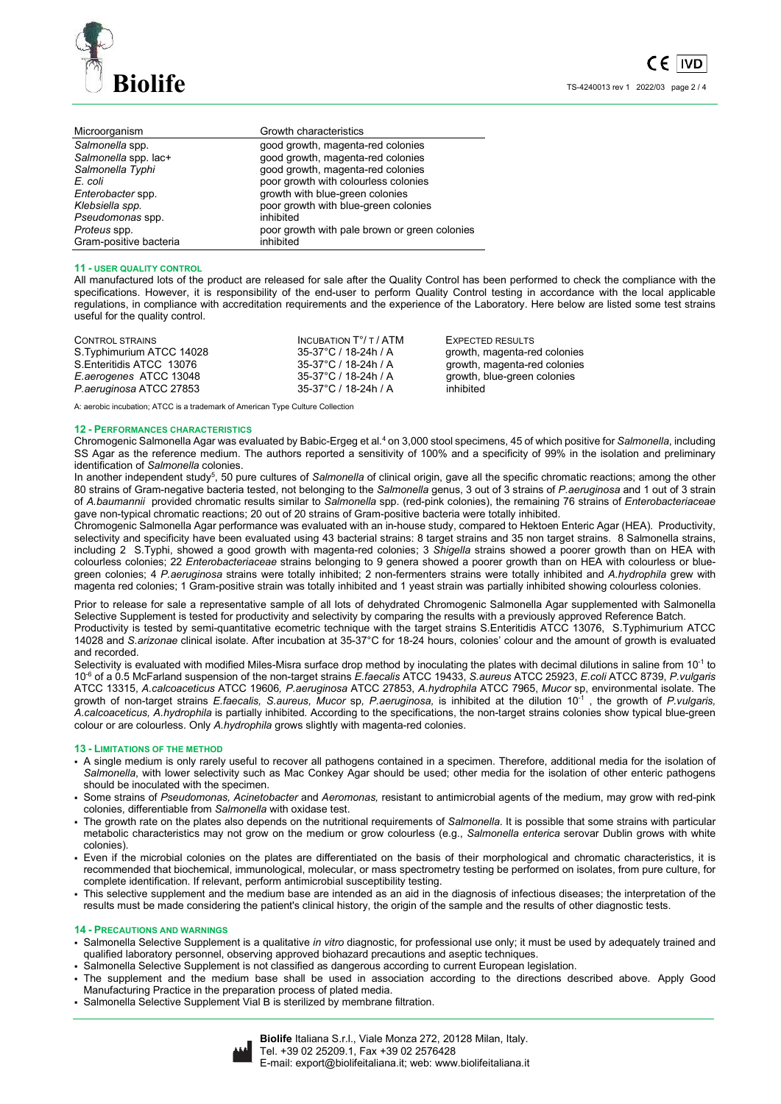

| Microorganism          | Growth characteristics                        |
|------------------------|-----------------------------------------------|
| Salmonella spp.        | good growth, magenta-red colonies             |
| Salmonella spp. lac+   | good growth, magenta-red colonies             |
| Salmonella Typhi       | good growth, magenta-red colonies             |
| E. coli                | poor growth with colourless colonies          |
| Enterobacter spp.      | growth with blue-green colonies               |
| Klebsiella spp.        | poor growth with blue-green colonies          |
| Pseudomonas spp.       | inhibited                                     |
| Proteus spp.           | poor growth with pale brown or green colonies |
| Gram-positive bacteria | inhibited                                     |

## **11 - USER QUALITY CONTROL**

All manufactured lots of the product are released for sale after the Quality Control has been performed to check the compliance with the specifications. However, it is responsibility of the end-user to perform Quality Control testing in accordance with the local applicable regulations, in compliance with accreditation requirements and the experience of the Laboratory. Here below are listed some test strains useful for the quality control.

A: aerobic incubation; ATCC is a trademark of American Type Culture Collection

#### **12 - PERFORMANCES CHARACTERISTICS**

Chromogenic Salmonella Agar was evaluated by Babic-Ergeg et al.<sup>4</sup> on 3,000 stool specimens, 45 of which positive for Salmonella, including SS Agar as the reference medium. The authors reported a sensitivity of 100% and a specificity of 99% in the isolation and preliminary identification of *Salmonella* colonies.

In another independent study<sup>5</sup>, 50 pure cultures of Salmonella of clinical origin, gave all the specific chromatic reactions; among the other 80 strains of Gram-negative bacteria tested, not belonging to the *Salmonella* genus, 3 out of 3 strains of *P.aeruginosa* and 1 out of 3 strain of *A.baumannii* provided chromatic results similar to *Salmonella* spp. (red-pink colonies), the remaining 76 strains of *Enterobacteriaceae* gave non-typical chromatic reactions; 20 out of 20 strains of Gram-positive bacteria were totally inhibited.

Chromogenic Salmonella Agar performance was evaluated with an in-house study, compared to Hektoen Enteric Agar (HEA). Productivity, selectivity and specificity have been evaluated using 43 bacterial strains: 8 target strains and 35 non target strains. 8 Salmonella strains, including 2 S.Typhi, showed a good growth with magenta-red colonies; 3 *Shigella* strains showed a poorer growth than on HEA with colourless colonies; 22 *Enterobacteriaceae* strains belonging to 9 genera showed a poorer growth than on HEA with colourless or bluegreen colonies; 4 *P.aeruginosa* strains were totally inhibited; 2 non-fermenters strains were totally inhibited and *A.hydrophila* grew with magenta red colonies; 1 Gram-positive strain was totally inhibited and 1 yeast strain was partially inhibited showing colourless colonies.

Prior to release for sale a representative sample of all lots of dehydrated Chromogenic Salmonella Agar supplemented with Salmonella Selective Supplement is tested for productivity and selectivity by comparing the results with a previously approved Reference Batch. Productivity is tested by semi-quantitative ecometric technique with the target strains S.Enteritidis ATCC 13076, S.Typhimurium ATCC 14028 and *S.arizonae* clinical isolate. After incubation at 35-37°C for 18-24 hours, colonies' colour and the amount of growth is evaluated and recorded.

Selectivity is evaluated with modified Miles-Misra surface drop method by inoculating the plates with decimal dilutions in saline from 10<sup>-1</sup> to 10-6 of a 0.5 McFarland suspension of the non-target strains *E.faecalis* ATCC 19433, *S.aureus* ATCC 25923, *E.coli* ATCC 8739, *P.vulgaris* ATCC 13315, *A.calcoaceticus* ATCC 19606*, P.aeruginosa* ATCC 27853, *A.hydrophila* ATCC 7965, *Mucor* sp, environmental isolate. The growth of non-target strains *E.faecalis, S.aureus, Mucor* sp*, P.aeruginosa,* is inhibited at the dilution 10-1 , the growth of *P.vulgaris, A.calcoaceticus, A.hydrophila* is partially inhibited. According to the specifications, the non-target strains colonies show typical blue-green colour or are colourless. Only *A.hydrophila* grows slightly with magenta-red colonies.

#### **13 - LIMITATIONS OF THE METHOD**

- A single medium is only rarely useful to recover all pathogens contained in a specimen. Therefore, additional media for the isolation of *Salmonella*, with lower selectivity such as Mac Conkey Agar should be used; other media for the isolation of other enteric pathogens should be inoculated with the specimen.
- Some strains of *Pseudomonas, Acinetobacter* and *Aeromonas,* resistant to antimicrobial agents of the medium, may grow with red-pink colonies, differentiable from *Salmonella* with oxidase test.
- The growth rate on the plates also depends on the nutritional requirements of *Salmonella*. It is possible that some strains with particular metabolic characteristics may not grow on the medium or grow colourless (e.g., *Salmonella enterica* serovar Dublin grows with white colonies).
- Even if the microbial colonies on the plates are differentiated on the basis of their morphological and chromatic characteristics, it is recommended that biochemical, immunological, molecular, or mass spectrometry testing be performed on isolates, from pure culture, for complete identification. If relevant, perform antimicrobial susceptibility testing.
- This selective supplement and the medium base are intended as an aid in the diagnosis of infectious diseases; the interpretation of the results must be made considering the patient's clinical history, the origin of the sample and the results of other diagnostic tests.

#### **14 - PRECAUTIONS AND WARNINGS**

- Salmonella Selective Supplement is a qualitative *in vitro* diagnostic, for professional use only; it must be used by adequately trained and qualified laboratory personnel, observing approved biohazard precautions and aseptic techniques.
- Salmonella Selective Supplement is not classified as dangerous according to current European legislation.
- The supplement and the medium base shall be used in association according to the directions described above. Apply Good Manufacturing Practice in the preparation process of plated media.
- Salmonella Selective Supplement Vial B is sterilized by membrane filtration.

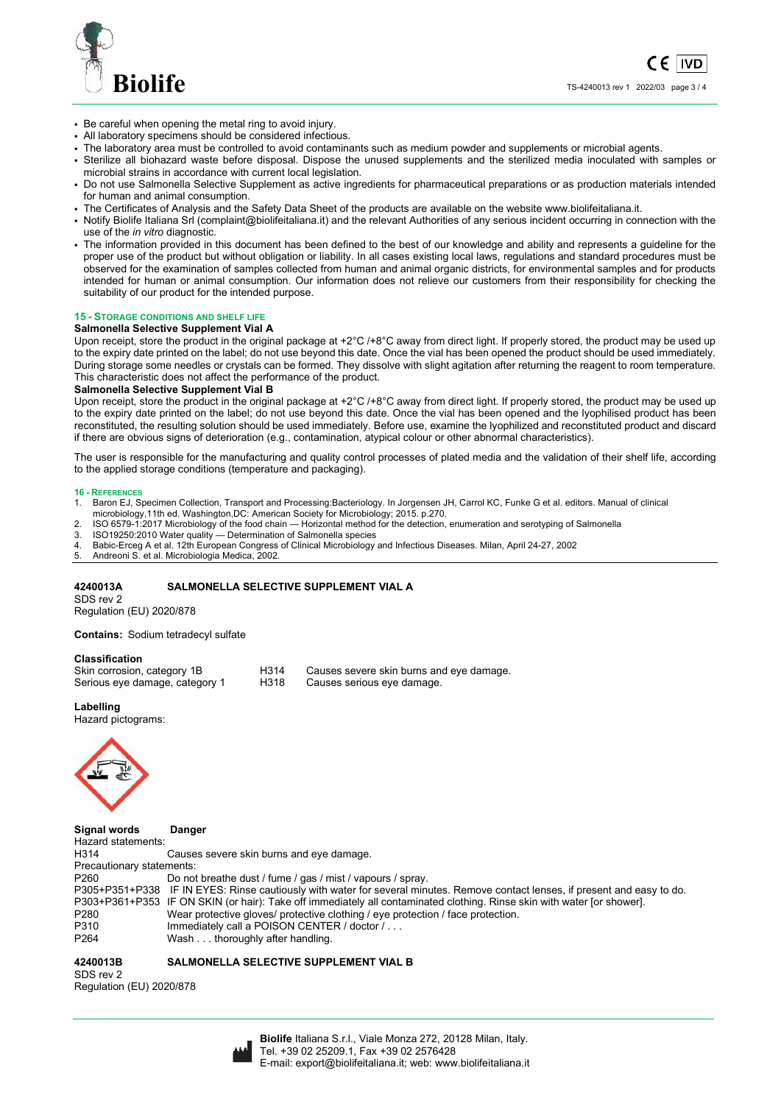

( F **IVD** TS-4240013 rev 1 2022/03 page 3 / 4

- Be careful when opening the metal ring to avoid injury.
- All laboratory specimens should be considered infectious.
- The laboratory area must be controlled to avoid contaminants such as medium powder and supplements or microbial agents.
- Sterilize all biohazard waste before disposal. Dispose the unused supplements and the sterilized media inoculated with samples or microbial strains in accordance with current local legislation.
- Do not use Salmonella Selective Supplement as active ingredients for pharmaceutical preparations or as production materials intended for human and animal consumption.
- The Certificates of Analysis and the Safety Data Sheet of the products are available on the website www.biolifeitaliana.it.
- Notify Biolife Italiana Srl (complaint@biolifeitaliana.it) and the relevant Authorities of any serious incident occurring in connection with the use of the *in vitro* diagnostic.
- The information provided in this document has been defined to the best of our knowledge and ability and represents a guideline for the proper use of the product but without obligation or liability. In all cases existing local laws, regulations and standard procedures must be observed for the examination of samples collected from human and animal organic districts, for environmental samples and for products intended for human or animal consumption. Our information does not relieve our customers from their responsibility for checking the suitability of our product for the intended purpose.

## **15 - STORAGE CONDITIONS AND SHELF LIFE**

## **Salmonella Selective Supplement Vial A**

Upon receipt, store the product in the original package at +2°C /+8°C away from direct light. If properly stored, the product may be used up to the expiry date printed on the label; do not use beyond this date. Once the vial has been opened the product should be used immediately. During storage some needles or crystals can be formed. They dissolve with slight agitation after returning the reagent to room temperature. This characteristic does not affect the performance of the product.

## **Salmonella Selective Supplement Vial B**

Upon receipt, store the product in the original package at +2°C /+8°C away from direct light. If properly stored, the product may be used up to the expiry date printed on the label; do not use beyond this date. Once the vial has been opened and the lyophilised product has been reconstituted, the resulting solution should be used immediately. Before use, examine the lyophilized and reconstituted product and discard if there are obvious signs of deterioration (e.g., contamination, atypical colour or other abnormal characteristics).

The user is responsible for the manufacturing and quality control processes of plated media and the validation of their shelf life, according to the applied storage conditions (temperature and packaging).

### **16 - REFERENCES**

- 1. Baron EJ, Specimen Collection, Transport and Processing:Bacteriology. In Jorgensen JH, Carrol KC, Funke G et al. editors. Manual of clinical microbiology,11th ed. Washington,DC: American Society for Microbiology; 2015. p.270.
- 2. ISO 6579-1:2017 Microbiology of the food chain Horizontal method for the detection, enumeration and serotyping of Salmonella
- 3. ISO19250:2010 Water quality Determination of Salmonella species
- 4. Babic-Erceg A et al. 12th European Congress of Clinical Microbiology and Infectious Diseases. Milan, April 24-27, 2002
- 5. Andreoni S. et al. Microbiologia Medica, 2002.

## **4240013A SALMONELLA SELECTIVE SUPPLEMENT VIAL A**

SDS rev 2

Regulation (EU) 2020/878

**Contains:** Sodium tetradecyl sulfate

## **Classification**

| Skin corrosion, category 1B    | H <sub>3</sub> 14 | Causes severe skin burns and eye damage. |
|--------------------------------|-------------------|------------------------------------------|
| Serious eye damage, category 1 | H318              | Causes serious eye damage.               |

## **Labelling**

Hazard pictograms:



**Signal words Danger**  Hazard statements:<br>H314 Causes severe skin burns and eye damage. Precautionary statements: P260 Do not breathe dust / fume / gas / mist / vapours / spray. P305+P351+P338 IF IN EYES: Rinse cautiously with water for several minutes. Remove contact lenses, if present and easy to do. P303+P361+P353 IF ON SKIN (or hair): Take off immediately all contaminated clothing. Rinse skin with water [or shower]. P280 Wear protective gloves/ protective clothing / eye protection / face protection.<br>P310 Immediately call a POISON CENTER / doctor / . . . P310 Immediately call a POISON CENTER / doctor / . .<br>P264 Wash . . . thoroughly after handling. Wash . . . thoroughly after handling.

## **4240013B SALMONELLA SELECTIVE SUPPLEMENT VIAL B**

SDS rev 2 Regulation (EU) 2020/878